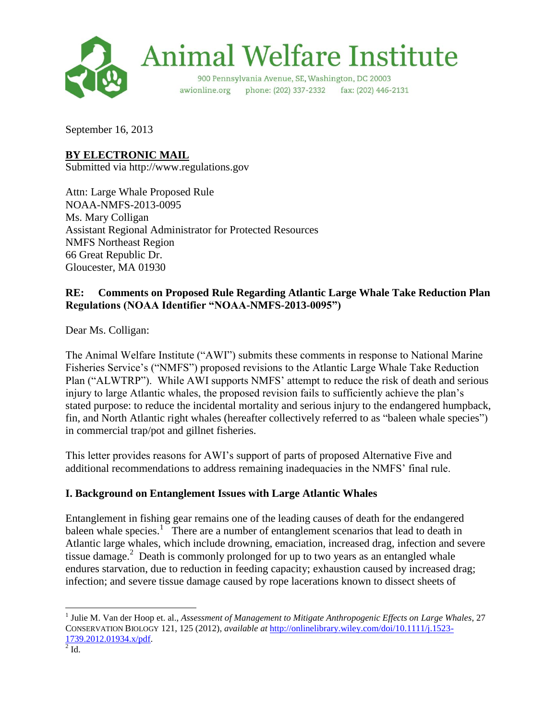

# **Animal Welfare Institute**

900 Pennsylvania Avenue, SE, Washington, DC 20003 phone: (202) 337-2332 fax: (202) 446-2131 awionline.org

September 16, 2013

## **BY ELECTRONIC MAIL**

Submitted via http://www.regulations.gov

Attn: Large Whale Proposed Rule NOAA-NMFS-2013-0095 Ms. Mary Colligan Assistant Regional Administrator for Protected Resources NMFS Northeast Region 66 Great Republic Dr. Gloucester, MA 01930

### **RE: Comments on Proposed Rule Regarding Atlantic Large Whale Take Reduction Plan Regulations (NOAA Identifier "NOAA-NMFS-2013-0095")**

Dear Ms. Colligan:

The Animal Welfare Institute ("AWI") submits these comments in response to National Marine Fisheries Service's ("NMFS") proposed revisions to the Atlantic Large Whale Take Reduction Plan ("ALWTRP"). While AWI supports NMFS' attempt to reduce the risk of death and serious injury to large Atlantic whales, the proposed revision fails to sufficiently achieve the plan's stated purpose: to reduce the incidental mortality and serious injury to the endangered humpback, fin, and North Atlantic right whales (hereafter collectively referred to as "baleen whale species") in commercial trap/pot and gillnet fisheries.

This letter provides reasons for AWI's support of parts of proposed Alternative Five and additional recommendations to address remaining inadequacies in the NMFS' final rule.

## **I. Background on Entanglement Issues with Large Atlantic Whales**

Entanglement in fishing gear remains one of the leading causes of death for the endangered baleen whale species.<sup>1</sup> There are a number of entanglement scenarios that lead to death in Atlantic large whales, which include drowning, emaciation, increased drag, infection and severe tissue damage.<sup>2</sup> Death is commonly prolonged for up to two years as an entangled whale endures starvation, due to reduction in feeding capacity; exhaustion caused by increased drag; infection; and severe tissue damage caused by rope lacerations known to dissect sheets of

 $\overline{\phantom{a}}$ 

<sup>&</sup>lt;sup>1</sup> Julie M. Van der Hoop et. al., *Assessment of Management to Mitigate Anthropogenic Effects on Large Whales*, 27 CONSERVATION BIOLOGY 121, 125 (2012), *available at* [http://onlinelibrary.wiley.com/doi/10.1111/j.1523-](http://onlinelibrary.wiley.com/doi/10.1111/j.1523-1739.2012.01934.x/pdf) [1739.2012.01934.x/pdf.](http://onlinelibrary.wiley.com/doi/10.1111/j.1523-1739.2012.01934.x/pdf)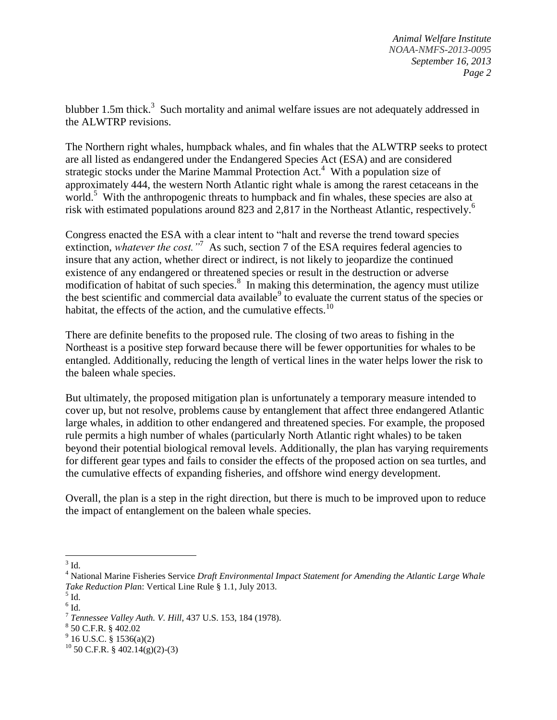blubber 1.5m thick.<sup>3</sup> Such mortality and animal welfare issues are not adequately addressed in the ALWTRP revisions.

The Northern right whales, humpback whales, and fin whales that the ALWTRP seeks to protect are all listed as endangered under the Endangered Species Act (ESA) and are considered strategic stocks under the Marine Mammal Protection Act.<sup>4</sup> With a population size of approximately 444, the western North Atlantic right whale is among the rarest cetaceans in the world.<sup>5</sup> With the anthropogenic threats to humpback and fin whales, these species are also at risk with estimated populations around 823 and 2,817 in the Northeast Atlantic, respectively.<sup>6</sup>

Congress enacted the ESA with a clear intent to "halt and reverse the trend toward species extinction, *whatever the cost.*<sup>77</sup> As such, section 7 of the ESA requires federal agencies to insure that any action, whether direct or indirect, is not likely to jeopardize the continued existence of any endangered or threatened species or result in the destruction or adverse modification of habitat of such species.<sup>8</sup> In making this determination, the agency must utilize the best scientific and commercial data available<sup>9</sup> to evaluate the current status of the species or habitat, the effects of the action, and the cumulative effects. $10$ 

There are definite benefits to the proposed rule. The closing of two areas to fishing in the Northeast is a positive step forward because there will be fewer opportunities for whales to be entangled. Additionally, reducing the length of vertical lines in the water helps lower the risk to the baleen whale species.

But ultimately, the proposed mitigation plan is unfortunately a temporary measure intended to cover up, but not resolve, problems cause by entanglement that affect three endangered Atlantic large whales, in addition to other endangered and threatened species. For example, the proposed rule permits a high number of whales (particularly North Atlantic right whales) to be taken beyond their potential biological removal levels. Additionally, the plan has varying requirements for different gear types and fails to consider the effects of the proposed action on sea turtles, and the cumulative effects of expanding fisheries, and offshore wind energy development.

Overall, the plan is a step in the right direction, but there is much to be improved upon to reduce the impact of entanglement on the baleen whale species.

 $3$  Id.

<sup>4</sup> National Marine Fisheries Service *Draft Environmental Impact Statement for Amending the Atlantic Large Whale Take Reduction Pla*n: Vertical Line Rule § 1.1, July 2013.

 $<sup>5</sup>$  Id.</sup>

 $^6$  Id.

<sup>7</sup> *Tennessee Valley Auth. V. Hill*, 437 U.S. 153, 184 (1978).

<sup>8</sup> 50 C.F.R. § 402.02

 $9^9$  16 U.S.C. § 1536(a)(2)

 $^{10}$  50 C.F.R. § 402.14(g)(2)-(3)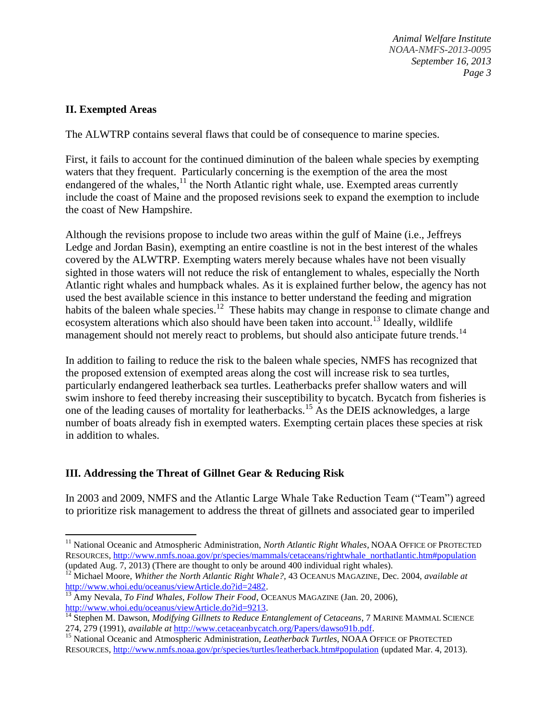*Animal Welfare Institute NOAA-NMFS-2013-0095 September 16, 2013 Page 3*

#### **II. Exempted Areas**

 $\overline{a}$ 

The ALWTRP contains several flaws that could be of consequence to marine species.

First, it fails to account for the continued diminution of the baleen whale species by exempting waters that they frequent. Particularly concerning is the exemption of the area the most endangered of the whales, $11$  the North Atlantic right whale, use. Exempted areas currently include the coast of Maine and the proposed revisions seek to expand the exemption to include the coast of New Hampshire.

Although the revisions propose to include two areas within the gulf of Maine (i.e., Jeffreys Ledge and Jordan Basin), exempting an entire coastline is not in the best interest of the whales covered by the ALWTRP. Exempting waters merely because whales have not been visually sighted in those waters will not reduce the risk of entanglement to whales, especially the North Atlantic right whales and humpback whales. As it is explained further below, the agency has not used the best available science in this instance to better understand the feeding and migration habits of the baleen whale species.<sup>12</sup> These habits may change in response to climate change and ecosystem alterations which also should have been taken into account.<sup>13</sup> Ideally, wildlife management should not merely react to problems, but should also anticipate future trends.<sup>14</sup>

In addition to failing to reduce the risk to the baleen whale species, NMFS has recognized that the proposed extension of exempted areas along the cost will increase risk to sea turtles, particularly endangered leatherback sea turtles. Leatherbacks prefer shallow waters and will swim inshore to feed thereby increasing their susceptibility to bycatch. Bycatch from fisheries is one of the leading causes of mortality for leatherbacks.<sup>15</sup> As the DEIS acknowledges, a large number of boats already fish in exempted waters. Exempting certain places these species at risk in addition to whales.

#### **III. Addressing the Threat of Gillnet Gear & Reducing Risk**

In 2003 and 2009, NMFS and the Atlantic Large Whale Take Reduction Team ("Team") agreed to prioritize risk management to address the threat of gillnets and associated gear to imperiled

<sup>&</sup>lt;sup>11</sup> National Oceanic and Atmospheric Administration, *North Atlantic Right Whales*, NOAA OFFICE OF PROTECTED RESOURCES[, http://www.nmfs.noaa.gov/pr/species/mammals/cetaceans/rightwhale\\_northatlantic.htm#population](http://www.nmfs.noaa.gov/pr/species/mammals/cetaceans/rightwhale_northatlantic.htm#population) (updated Aug. 7, 2013) (There are thought to only be around 400 individual right whales).

<sup>&</sup>lt;sup>12</sup> Michael Moore, *Whither the North Atlantic Right Whale?*, 43 OCEANUS MAGAZINE, Dec. 2004, *available at* [http://www.whoi.edu/oceanus/viewArticle.do?id=2482.](http://www.whoi.edu/oceanus/viewArticle.do?id=2482)

<sup>13</sup> Amy Nevala, *To Find Whales, Follow Their Food*, OCEANUS MAGAZINE (Jan. 20, 2006), [http://www.whoi.edu/oceanus/viewArticle.do?id=9213.](http://www.whoi.edu/oceanus/viewArticle.do?id=9213)

<sup>&</sup>lt;sup>14</sup> Stephen M. Dawson, *Modifying Gillnets to Reduce Entanglement of Cetaceans*, 7 MARINE MAMMAL SCIENCE 274, 279 (1991), *available at* [http://www.cetaceanbycatch.org/Papers/dawso91b.pdf.](http://www.cetaceanbycatch.org/Papers/dawso91b.pdf)

<sup>&</sup>lt;sup>15</sup> National Oceanic and Atmospheric Administration, *Leatherback Turtles*, NOAA OFFICE OF PROTECTED RESOURCES[, http://www.nmfs.noaa.gov/pr/species/turtles/leatherback.htm#population](http://www.nmfs.noaa.gov/pr/species/turtles/leatherback.htm#population) (updated Mar. 4, 2013).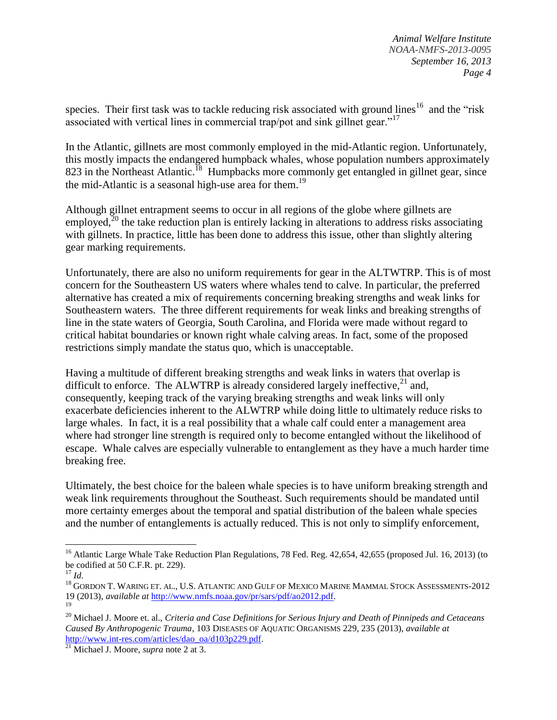species. Their first task was to tackle reducing risk associated with ground lines<sup>16</sup> and the "risk" associated with vertical lines in commercial trap/pot and sink gillnet gear."<sup>17</sup>

In the Atlantic, gillnets are most commonly employed in the mid-Atlantic region. Unfortunately, this mostly impacts the endangered humpback whales, whose population numbers approximately 823 in the Northeast Atlantic.<sup>18</sup> Humpbacks more commonly get entangled in gillnet gear, since the mid-Atlantic is a seasonal high-use area for them.<sup>19</sup>

Although gillnet entrapment seems to occur in all regions of the globe where gillnets are employed, $2^0$  the take reduction plan is entirely lacking in alterations to address risks associating with gillnets. In practice, little has been done to address this issue, other than slightly altering gear marking requirements.

Unfortunately, there are also no uniform requirements for gear in the ALTWTRP. This is of most concern for the Southeastern US waters where whales tend to calve. In particular, the preferred alternative has created a mix of requirements concerning breaking strengths and weak links for Southeastern waters. The three different requirements for weak links and breaking strengths of line in the state waters of Georgia, South Carolina, and Florida were made without regard to critical habitat boundaries or known right whale calving areas. In fact, some of the proposed restrictions simply mandate the status quo, which is unacceptable.

Having a multitude of different breaking strengths and weak links in waters that overlap is difficult to enforce. The ALWTRP is already considered largely ineffective,  $21$  and, consequently, keeping track of the varying breaking strengths and weak links will only exacerbate deficiencies inherent to the ALWTRP while doing little to ultimately reduce risks to large whales. In fact, it is a real possibility that a whale calf could enter a management area where had stronger line strength is required only to become entangled without the likelihood of escape. Whale calves are especially vulnerable to entanglement as they have a much harder time breaking free.

Ultimately, the best choice for the baleen whale species is to have uniform breaking strength and weak link requirements throughout the Southeast. Such requirements should be mandated until more certainty emerges about the temporal and spatial distribution of the baleen whale species and the number of entanglements is actually reduced. This is not only to simplify enforcement,

 $\overline{\phantom{a}}$ 

<sup>&</sup>lt;sup>16</sup> Atlantic Large Whale Take Reduction Plan Regulations, 78 Fed. Reg. 42,654, 42,655 (proposed Jul. 16, 2013) (to be codified at 50 C.F.R. pt. 229).

<sup>17</sup> *Id*.

 $^{18}$  GORDON T. WARING ET. AL., U.S. ATLANTIC AND GULF OF MEXICO MARINE MAMMAL STOCK ASSESSMENTS-2012 19 (2013), *available at* [http://www.nmfs.noaa.gov/pr/sars/pdf/ao2012.pdf.](http://www.nmfs.noaa.gov/pr/sars/pdf/ao2012.pdf)

<sup>19</sup>

<sup>20</sup> Michael J. Moore et. al., *Criteria and Case Definitions for Serious Injury and Death of Pinnipeds and Cetaceans Caused By Anthropogenic Trauma*, 103 DISEASES OF AQUATIC ORGANISMS 229, 235 (2013), *available at*  [http://www.int-res.com/articles/dao\\_oa/d103p229.pdf.](http://www.int-res.com/articles/dao_oa/d103p229.pdf)

<sup>21</sup> Michael J. Moore, *supra* note 2 at 3.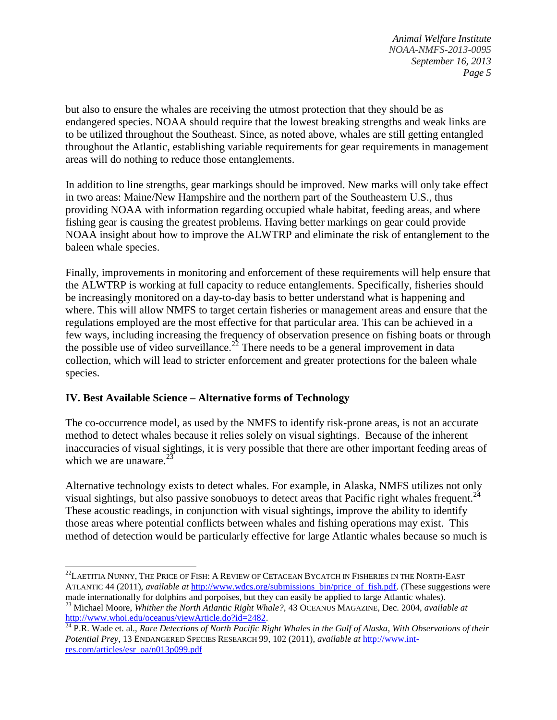*Animal Welfare Institute NOAA-NMFS-2013-0095 September 16, 2013 Page 5*

but also to ensure the whales are receiving the utmost protection that they should be as endangered species. NOAA should require that the lowest breaking strengths and weak links are to be utilized throughout the Southeast. Since, as noted above, whales are still getting entangled throughout the Atlantic, establishing variable requirements for gear requirements in management areas will do nothing to reduce those entanglements.

In addition to line strengths, gear markings should be improved. New marks will only take effect in two areas: Maine/New Hampshire and the northern part of the Southeastern U.S., thus providing NOAA with information regarding occupied whale habitat, feeding areas, and where fishing gear is causing the greatest problems. Having better markings on gear could provide NOAA insight about how to improve the ALWTRP and eliminate the risk of entanglement to the baleen whale species.

Finally, improvements in monitoring and enforcement of these requirements will help ensure that the ALWTRP is working at full capacity to reduce entanglements. Specifically, fisheries should be increasingly monitored on a day-to-day basis to better understand what is happening and where. This will allow NMFS to target certain fisheries or management areas and ensure that the regulations employed are the most effective for that particular area. This can be achieved in a few ways, including increasing the frequency of observation presence on fishing boats or through the possible use of video surveillance.<sup>22</sup> There needs to be a general improvement in data collection, which will lead to stricter enforcement and greater protections for the baleen whale species.

#### **IV. Best Available Science – Alternative forms of Technology**

The co-occurrence model, as used by the NMFS to identify risk-prone areas, is not an accurate method to detect whales because it relies solely on visual sightings. Because of the inherent inaccuracies of visual sightings, it is very possible that there are other important feeding areas of which we are unaware. $2^{2}$ 

Alternative technology exists to detect whales. For example, in Alaska, NMFS utilizes not only visual sightings, but also passive sonobuoys to detect areas that Pacific right whales frequent.<sup>24</sup> These acoustic readings, in conjunction with visual sightings, improve the ability to identify those areas where potential conflicts between whales and fishing operations may exist. This method of detection would be particularly effective for large Atlantic whales because so much is

 $\overline{a}$ <sup>22</sup>LAETITIA NUNNY, THE PRICE OF FISH: A REVIEW OF CETACEAN BYCATCH IN FISHERIES IN THE NORTH-EAST ATLANTIC 44 (2011), *available at* [http://www.wdcs.org/submissions\\_bin/price\\_of\\_fish.pdf.](http://www.wdcs.org/submissions_bin/price_of_fish.pdf) (These suggestions were made internationally for dolphins and porpoises, but they can easily be applied to large Atlantic whales).

<sup>23</sup> Michael Moore, *Whither the North Atlantic Right Whale?,* 43 OCEANUS MAGAZINE, Dec. 2004, *available at*  [http://www.whoi.edu/oceanus/viewArticle.do?id=2482.](http://www.whoi.edu/oceanus/viewArticle.do?id=2482)

<sup>&</sup>lt;sup>24</sup> P.R. Wade et. al., *Rare Detections of North Pacific Right Whales in the Gulf of Alaska, With Observations of their Potential Prey*, 13 ENDANGERED SPECIES RESEARCH 99, 102 (2011), *available at* [http://www.int](http://www.int-res.com/articles/esr_oa/n013p099.pdf)[res.com/articles/esr\\_oa/n013p099.pdf](http://www.int-res.com/articles/esr_oa/n013p099.pdf)